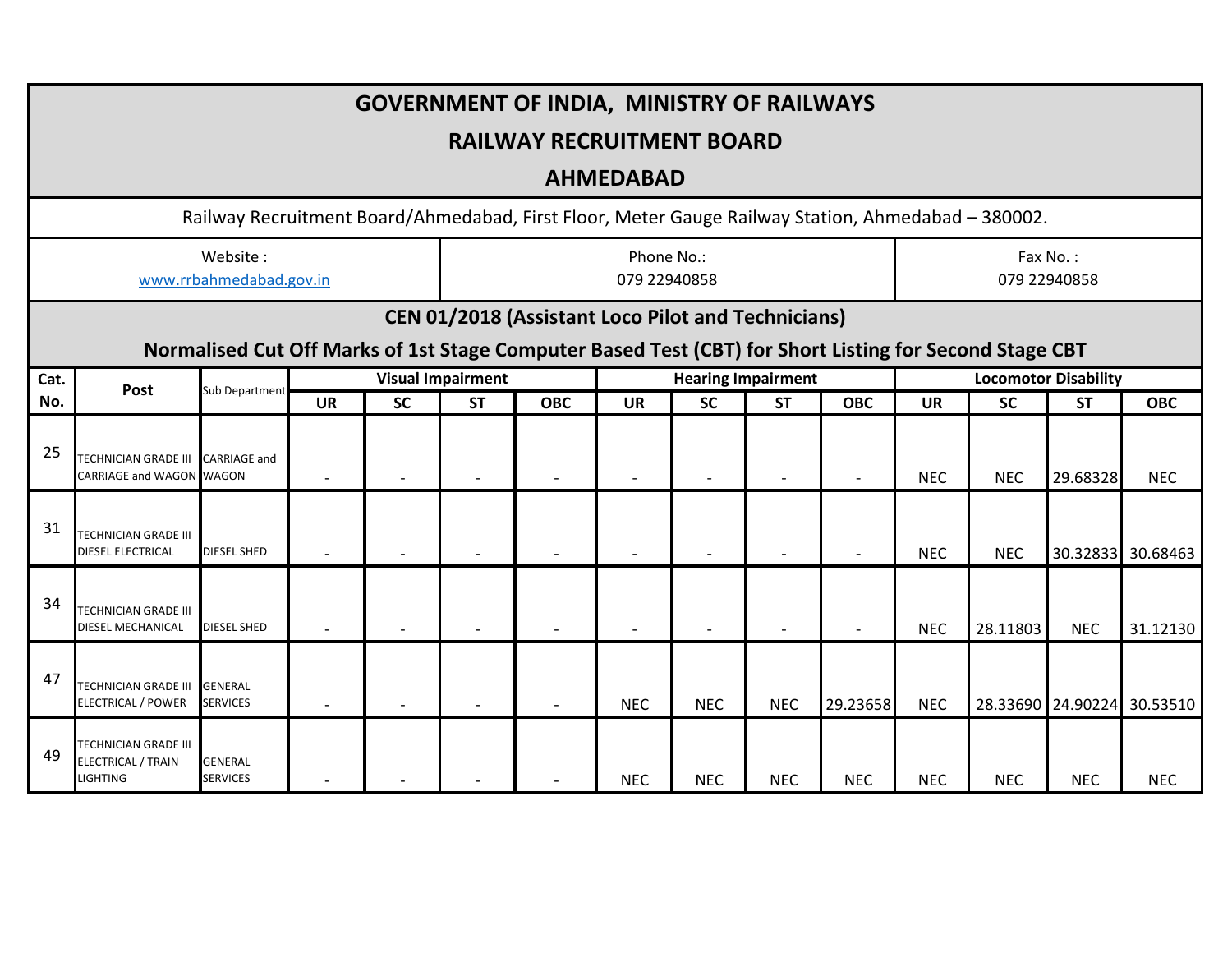| <b>GOVERNMENT OF INDIA, MINISTRY OF RAILWAYS</b> |                                                                                                        |                                   |           |           |                                       |            |            |            |                                        |            |            |            |                                          |                   |
|--------------------------------------------------|--------------------------------------------------------------------------------------------------------|-----------------------------------|-----------|-----------|---------------------------------------|------------|------------|------------|----------------------------------------|------------|------------|------------|------------------------------------------|-------------------|
|                                                  | <b>RAILWAY RECRUITMENT BOARD</b>                                                                       |                                   |           |           |                                       |            |            |            |                                        |            |            |            |                                          |                   |
|                                                  | <b>AHMEDABAD</b>                                                                                       |                                   |           |           |                                       |            |            |            |                                        |            |            |            |                                          |                   |
|                                                  | Railway Recruitment Board/Ahmedabad, First Floor, Meter Gauge Railway Station, Ahmedabad - 380002.     |                                   |           |           |                                       |            |            |            |                                        |            |            |            |                                          |                   |
|                                                  | www.rrbahmedabad.gov.in                                                                                | Phone No.:<br>079 22940858        |           |           |                                       |            |            |            | Fax No.:<br>079 22940858               |            |            |            |                                          |                   |
|                                                  | <b>CEN 01/2018 (Assistant Loco Pilot and Technicians)</b>                                              |                                   |           |           |                                       |            |            |            |                                        |            |            |            |                                          |                   |
|                                                  | Normalised Cut Off Marks of 1st Stage Computer Based Test (CBT) for Short Listing for Second Stage CBT |                                   |           |           |                                       |            |            |            |                                        |            |            |            |                                          |                   |
| Cat.<br>No.                                      | Post                                                                                                   | <b>Sub Department</b>             | <b>UR</b> | <b>SC</b> | <b>Visual Impairment</b><br><b>ST</b> | <b>OBC</b> | <b>UR</b>  | <b>SC</b>  | <b>Hearing Impairment</b><br><b>ST</b> | <b>OBC</b> | <b>UR</b>  | <b>SC</b>  | <b>Locomotor Disability</b><br><b>ST</b> | <b>OBC</b>        |
| 25                                               | TECHNICIAN GRADE III CARRIAGE and<br><b>CARRIAGE and WAGON WAGON</b>                                   |                                   |           |           |                                       |            |            |            |                                        |            | <b>NEC</b> | <b>NEC</b> | 29.68328                                 | <b>NEC</b>        |
| 31                                               | <b>TECHNICIAN GRADE III</b><br><b>DIESEL ELECTRICAL</b>                                                | <b>DIESEL SHED</b>                |           |           |                                       |            |            |            |                                        |            | <b>NEC</b> | <b>NEC</b> |                                          | 30.32833 30.68463 |
| 34                                               | <b>TECHNICIAN GRADE III</b><br><b>DIESEL MECHANICAL</b>                                                | <b>DIESEL SHED</b>                |           |           |                                       |            |            |            |                                        |            | <b>NEC</b> | 28.11803   | <b>NEC</b>                               | 31.12130          |
| 47                                               | <b>TECHNICIAN GRADE III</b><br><b>ELECTRICAL / POWER</b>                                               | <b>GENERAL</b><br><b>SERVICES</b> |           |           |                                       |            | <b>NEC</b> | <b>NEC</b> | <b>NEC</b>                             | 29.23658   | <b>NEC</b> |            | 28.33690 24.90224                        | 30.53510          |
| 49                                               | TECHNICIAN GRADE III<br><b>ELECTRICAL / TRAIN</b><br><b>LIGHTING</b>                                   | <b>GENERAL</b><br><b>SERVICES</b> |           |           |                                       |            | <b>NEC</b> | <b>NEC</b> | <b>NEC</b>                             | <b>NEC</b> | <b>NEC</b> | <b>NEC</b> | <b>NEC</b>                               | <b>NEC</b>        |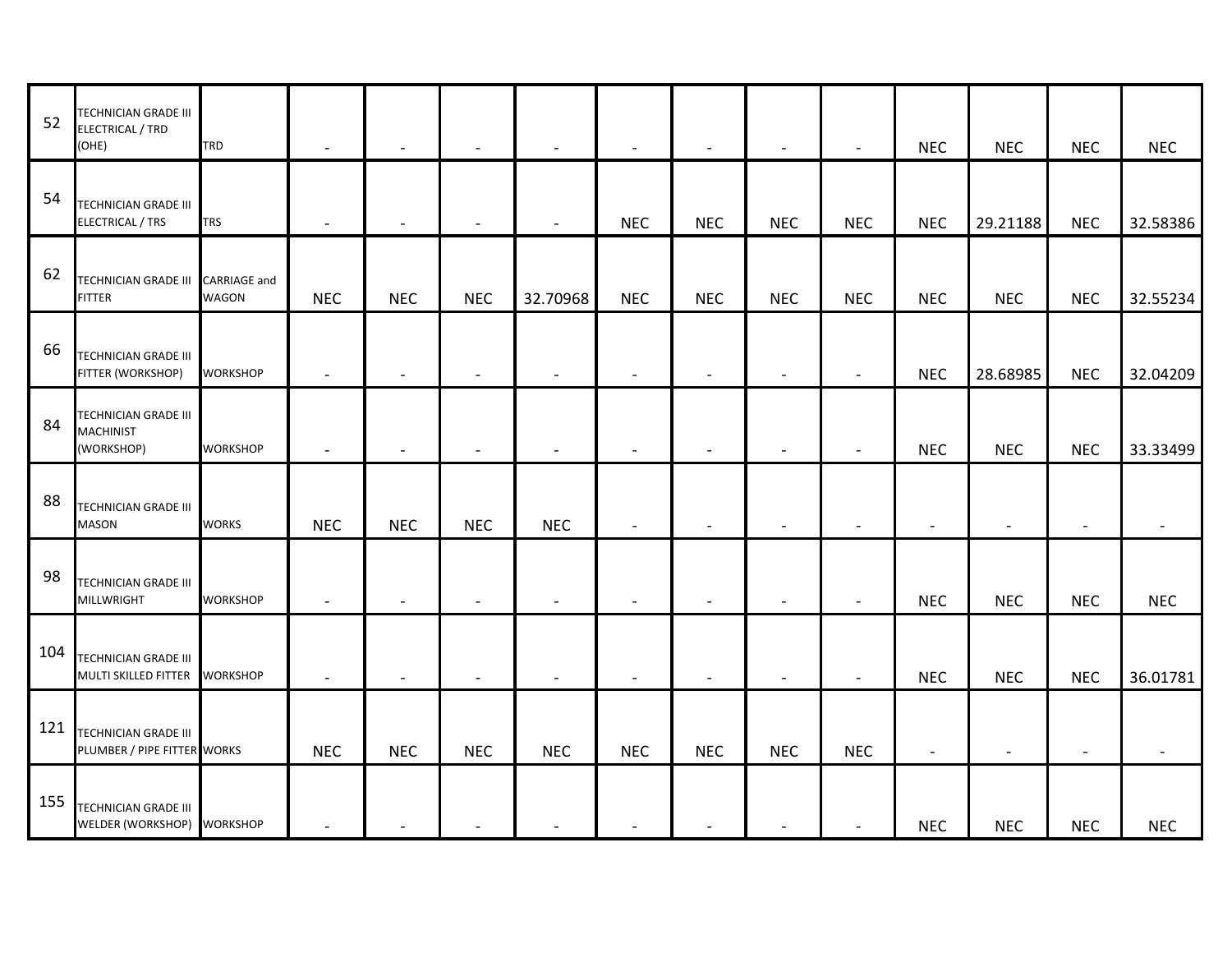| 52  | TECHNICIAN GRADE III<br><b>ELECTRICAL / TRD</b><br>(OHE)   | <b>TRD</b>                          | $\overline{\phantom{a}}$ |                          |            |            |            |            |                |            | <b>NEC</b>               | <b>NEC</b>     | <b>NEC</b>               | <b>NEC</b> |
|-----|------------------------------------------------------------|-------------------------------------|--------------------------|--------------------------|------------|------------|------------|------------|----------------|------------|--------------------------|----------------|--------------------------|------------|
| 54  | <b>TECHNICIAN GRADE III</b><br><b>ELECTRICAL / TRS</b>     | <b>TRS</b>                          |                          | $\overline{\phantom{0}}$ |            |            | <b>NEC</b> | <b>NEC</b> | <b>NEC</b>     | <b>NEC</b> | <b>NEC</b>               | 29.21188       | <b>NEC</b>               | 32.58386   |
| 62  | <b>TECHNICIAN GRADE III</b><br><b>FITTER</b>               | <b>CARRIAGE</b> and<br><b>WAGON</b> | <b>NEC</b>               | <b>NEC</b>               | <b>NEC</b> | 32.70968   | <b>NEC</b> | <b>NEC</b> | <b>NEC</b>     | <b>NEC</b> | <b>NEC</b>               | <b>NEC</b>     | <b>NEC</b>               | 32.55234   |
| 66  | <b>TECHNICIAN GRADE III</b><br>FITTER (WORKSHOP)           | <b>WORKSHOP</b>                     | $\overline{\phantom{a}}$ |                          |            |            |            |            |                |            | <b>NEC</b>               | 28.68985       | <b>NEC</b>               | 32.04209   |
| 84  | TECHNICIAN GRADE III<br><b>MACHINIST</b><br>(WORKSHOP)     | <b>WORKSHOP</b>                     | $\overline{\phantom{a}}$ |                          |            |            |            |            |                |            | <b>NEC</b>               | <b>NEC</b>     | <b>NEC</b>               | 33.33499   |
| 88  | <b>TECHNICIAN GRADE III</b><br><b>MASON</b>                | <b>WORKS</b>                        | <b>NEC</b>               | <b>NEC</b>               | <b>NEC</b> | <b>NEC</b> |            |            |                |            | $\overline{\phantom{a}}$ |                | $\overline{\phantom{a}}$ |            |
| 98  | <b>TECHNICIAN GRADE III</b><br><b>MILLWRIGHT</b>           | <b>WORKSHOP</b>                     |                          |                          |            |            |            |            |                |            | <b>NEC</b>               | <b>NEC</b>     | <b>NEC</b>               | <b>NEC</b> |
| 104 | <b>TECHNICIAN GRADE III</b><br>MULTI SKILLED FITTER        | <b>WORKSHOP</b>                     | $\overline{\phantom{a}}$ |                          |            |            |            |            | $\blacksquare$ |            | <b>NEC</b>               | <b>NEC</b>     | <b>NEC</b>               | 36.01781   |
| 121 | <b>TECHNICIAN GRADE III</b><br>PLUMBER / PIPE FITTER WORKS |                                     | <b>NEC</b>               | <b>NEC</b>               | <b>NEC</b> | <b>NEC</b> | <b>NEC</b> | <b>NEC</b> | <b>NEC</b>     | <b>NEC</b> | $\overline{\phantom{a}}$ | $\blacksquare$ |                          |            |
| 155 | <b>TECHNICIAN GRADE III</b><br>WELDER (WORKSHOP) WORKSHOP  |                                     |                          |                          |            |            |            |            |                |            | <b>NEC</b>               | <b>NEC</b>     | <b>NEC</b>               | <b>NEC</b> |